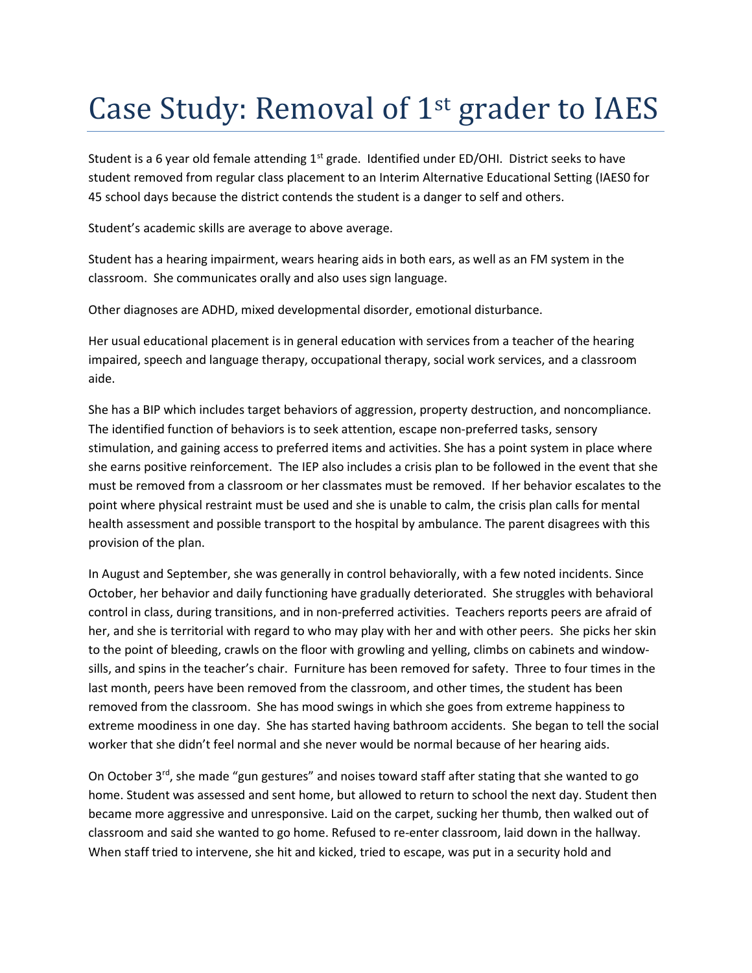## Case Study: Removal of 1st grader to IAES

Student is a 6 year old female attending  $1<sup>st</sup>$  grade. Identified under ED/OHI. District seeks to have student removed from regular class placement to an Interim Alternative Educational Setting (IAES0 for 45 school days because the district contends the student is a danger to self and others.

Student's academic skills are average to above average.

Student has a hearing impairment, wears hearing aids in both ears, as well as an FM system in the classroom. She communicates orally and also uses sign language.

Other diagnoses are ADHD, mixed developmental disorder, emotional disturbance.

Her usual educational placement is in general education with services from a teacher of the hearing impaired, speech and language therapy, occupational therapy, social work services, and a classroom aide.

She has a BIP which includes target behaviors of aggression, property destruction, and noncompliance. The identified function of behaviors is to seek attention, escape non-preferred tasks, sensory stimulation, and gaining access to preferred items and activities. She has a point system in place where she earns positive reinforcement. The IEP also includes a crisis plan to be followed in the event that she must be removed from a classroom or her classmates must be removed. If her behavior escalates to the point where physical restraint must be used and she is unable to calm, the crisis plan calls for mental health assessment and possible transport to the hospital by ambulance. The parent disagrees with this provision of the plan.

In August and September, she was generally in control behaviorally, with a few noted incidents. Since October, her behavior and daily functioning have gradually deteriorated. She struggles with behavioral control in class, during transitions, and in non-preferred activities. Teachers reports peers are afraid of her, and she is territorial with regard to who may play with her and with other peers. She picks her skin to the point of bleeding, crawls on the floor with growling and yelling, climbs on cabinets and windowsills, and spins in the teacher's chair. Furniture has been removed for safety. Three to four times in the last month, peers have been removed from the classroom, and other times, the student has been removed from the classroom. She has mood swings in which she goes from extreme happiness to extreme moodiness in one day. She has started having bathroom accidents. She began to tell the social worker that she didn't feel normal and she never would be normal because of her hearing aids.

On October  $3<sup>rd</sup>$ , she made "gun gestures" and noises toward staff after stating that she wanted to go home. Student was assessed and sent home, but allowed to return to school the next day. Student then became more aggressive and unresponsive. Laid on the carpet, sucking her thumb, then walked out of classroom and said she wanted to go home. Refused to re-enter classroom, laid down in the hallway. When staff tried to intervene, she hit and kicked, tried to escape, was put in a security hold and